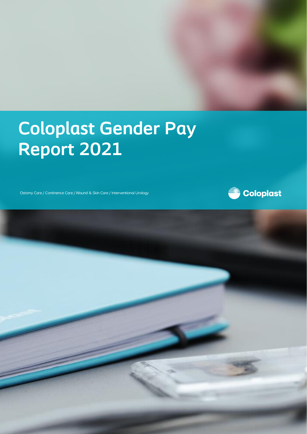# **Coloplast Gender Pay Report 2021**

Ostomy Care / Continence Care / Wound & Skin Care / Interventional Urology



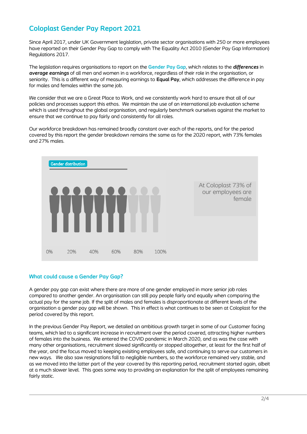## **Coloplast Gender Pay Report 2021**

Since April 2017, under UK Government legislation, private sector organisations with 250 or more employees have reported on their Gender Pay Gap to comply with The Equality Act 2010 (Gender Pay Gap Information) Regulations 2017.

The legislation requires organisations to report on the **Gender Pay Gap**, which relates to the *differences* in *average earnings* of all men and women in a workforce, regardless of their role in the organisation, or seniority. This is a different way of measuring earnings to **Equal Pay**, which addresses the difference in pay for males and females within the same job.

We consider that we are a Great Place to Work, and we consistently work hard to ensure that all of our policies and processes support this ethos. We maintain the use of an international job evaluation scheme which is used throughout the global organisation, and regularly benchmark ourselves against the market to ensure that we continue to pay fairly and consistently for all roles.

Our workforce breakdown has remained broadly constant over each of the reports, and for the period covered by this report the gender breakdown remains the same as for the 2020 report, with 73% females and 27% males.



### **What could cause a Gender Pay Gap?**

A gender pay gap can exist where there are more of one gender employed in more senior job roles compared to another gender. An organisation can still pay people fairly and equally when comparing the actual pay for the same job. If the split of males and females is disproportionate at different levels of the organisation a gender pay gap will be shown. This in effect is what continues to be seen at Coloplast for the period covered by this report.

In the previous Gender Pay Report, we detailed an ambitious growth target in some of our Customer facing teams, which led to a significant increase in recruitment over the period covered, attracting higher numbers of females into the business. We entered the COVID pandemic in March 2020, and as was the case with many other organisations, recruitment slowed significantly or stopped altogether, at least for the first half of the year, and the focus moved to keeping exisiting employees safe, and continuing to serve our customers in new ways. We also saw resignations fall to negligible numbers, so the workforce remained very stable, and as we moved into the latter part of the year covered by this reporting period, recruitment started again, albeit at a much slower level. This goes some way to providing an explanation for the split of employees remaining fairly static.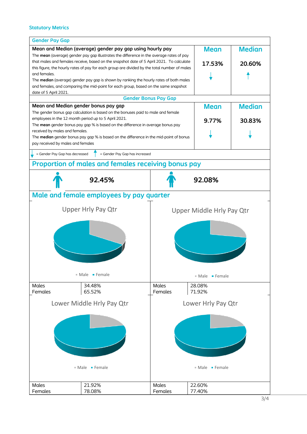## **Statutory Metrics**

| <b>Gender Pay Gap</b>                                                                        |                                                                                          |                                  |                                           |               |  |
|----------------------------------------------------------------------------------------------|------------------------------------------------------------------------------------------|----------------------------------|-------------------------------------------|---------------|--|
| Mean and Median (average) gender pay gap using hourly pay                                    |                                                                                          |                                  | <b>Mean</b>                               | <b>Median</b> |  |
|                                                                                              | The mean (average) gender pay gap illustrates the difference in the average rates of pay |                                  |                                           |               |  |
| that males and females receive, based on the snapshot date of 5 April 2021. To calculate     |                                                                                          |                                  | 17.53%                                    | 20.60%        |  |
| this figure, the hourly rates of pay for each group are divided by the total number of males |                                                                                          |                                  |                                           |               |  |
| and females.                                                                                 |                                                                                          |                                  |                                           |               |  |
| The median (average) gender pay gap is shown by ranking the hourly rates of both males       |                                                                                          |                                  |                                           |               |  |
| and females, and comparing the mid-point for each group, based on the same snapshot          |                                                                                          |                                  |                                           |               |  |
| date of 5 April 2021.                                                                        |                                                                                          |                                  |                                           |               |  |
|                                                                                              |                                                                                          | <b>Gender Bonus Pay Gap</b>      |                                           |               |  |
| Mean and Median gender bonus pay gap                                                         |                                                                                          |                                  | <b>Mean</b>                               | <b>Median</b> |  |
| The gender bonus gap calculation is based on the bonuses paid to male and female             |                                                                                          |                                  |                                           |               |  |
|                                                                                              | employees in the 12 month period up to 5 April 2021.                                     |                                  | 9.77%                                     | 30.83%        |  |
| The mean gender bonus pay gap % is based on the difference in average bonus pay              |                                                                                          |                                  |                                           |               |  |
| received by males and females.                                                               |                                                                                          |                                  |                                           |               |  |
| The median gender bonus pay gap % is based on the difference in the mid-point of bonus       |                                                                                          |                                  |                                           |               |  |
| pay received by males and females                                                            |                                                                                          |                                  |                                           |               |  |
| = Gender Pay Gap has decreased                                                               | = Gender Pay Gap has increased                                                           |                                  |                                           |               |  |
|                                                                                              | <b>Proportion of males and females receiving bonus pay</b>                               |                                  |                                           |               |  |
|                                                                                              | 92.45%                                                                                   |                                  | 92.08%                                    |               |  |
|                                                                                              | Male and female employees by pay quarter                                                 |                                  |                                           |               |  |
| <b>Upper Hrly Pay Qtr</b>                                                                    |                                                                                          |                                  |                                           |               |  |
|                                                                                              |                                                                                          | <b>Upper Middle Hrly Pay Qtr</b> |                                           |               |  |
|                                                                                              |                                                                                          |                                  |                                           |               |  |
| $Male$ Female                                                                                |                                                                                          |                                  | $\blacksquare$ Male $\blacksquare$ Female |               |  |
| <b>Males</b>                                                                                 | 34.48%                                                                                   | <b>Males</b>                     | 28.08%                                    |               |  |
| Females                                                                                      | 65.52%                                                                                   | Females                          | 71.92%                                    |               |  |
| Lower Middle Hrly Pay Qtr                                                                    |                                                                                          |                                  | Lower Hrly Pay Qtr                        |               |  |
|                                                                                              | $\blacksquare$ Male $\blacksquare$ Female                                                |                                  | ■ Male • Female                           |               |  |
|                                                                                              |                                                                                          |                                  |                                           |               |  |
| <b>Males</b><br>Females                                                                      | 21.92%<br>78.08%                                                                         | <b>Males</b><br>Females          | 22.60%<br>77.40%                          |               |  |
|                                                                                              |                                                                                          |                                  |                                           |               |  |